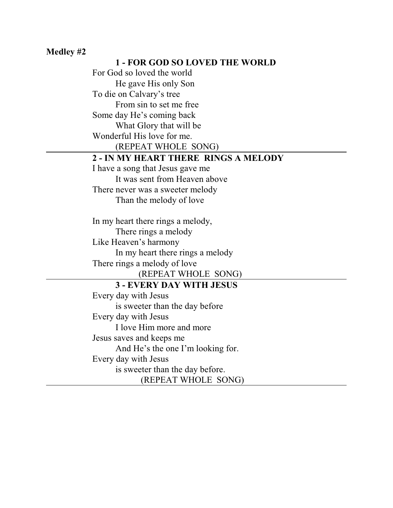## **Medley #2**

## **1 - FOR GOD SO LOVED THE WORLD**

For God so loved the world He gave His only Son To die on Calvary's tree From sin to set me free Some day He's coming back What Glory that will be Wonderful His love for me. (REPEAT WHOLE SONG) **2 - IN MY HEART THERE RINGS A MELODY** I have a song that Jesus gave me It was sent from Heaven above There never was a sweeter melody Than the melody of love In my heart there rings a melody, There rings a melody Like Heaven's harmony In my heart there rings a melody There rings a melody of love (REPEAT WHOLE SONG) **3 - EVERY DAY WITH JESUS** Every day with Jesus is sweeter than the day before Every day with Jesus I love Him more and more Jesus saves and keeps me And He's the one I'm looking for. Every day with Jesus is sweeter than the day before.

(REPEAT WHOLE SONG)